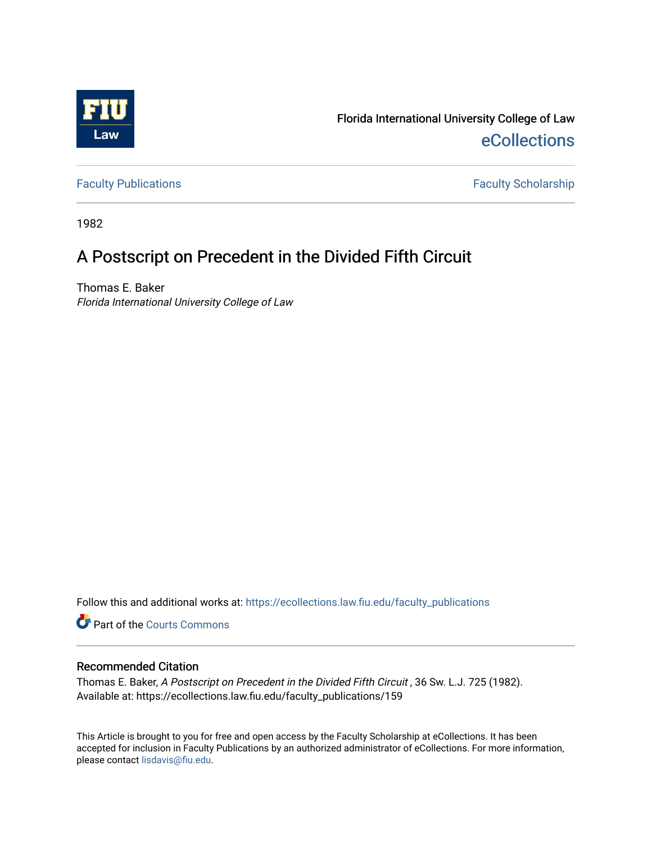

Florida International University College of Law [eCollections](https://ecollections.law.fiu.edu/) 

[Faculty Publications](https://ecollections.law.fiu.edu/faculty_publications) **Faculty Scholarship** 

1982

## A Postscript on Precedent in the Divided Fifth Circuit

Thomas E. Baker Florida International University College of Law

Follow this and additional works at: [https://ecollections.law.fiu.edu/faculty\\_publications](https://ecollections.law.fiu.edu/faculty_publications?utm_source=ecollections.law.fiu.edu%2Ffaculty_publications%2F159&utm_medium=PDF&utm_campaign=PDFCoverPages)

Part of the [Courts Commons](http://network.bepress.com/hgg/discipline/839?utm_source=ecollections.law.fiu.edu%2Ffaculty_publications%2F159&utm_medium=PDF&utm_campaign=PDFCoverPages) 

## Recommended Citation

Thomas E. Baker, A Postscript on Precedent in the Divided Fifth Circuit , 36 Sw. L.J. 725 (1982). Available at: https://ecollections.law.fiu.edu/faculty\_publications/159

This Article is brought to you for free and open access by the Faculty Scholarship at eCollections. It has been accepted for inclusion in Faculty Publications by an authorized administrator of eCollections. For more information, please contact [lisdavis@fiu.edu](mailto:lisdavis@fiu.edu).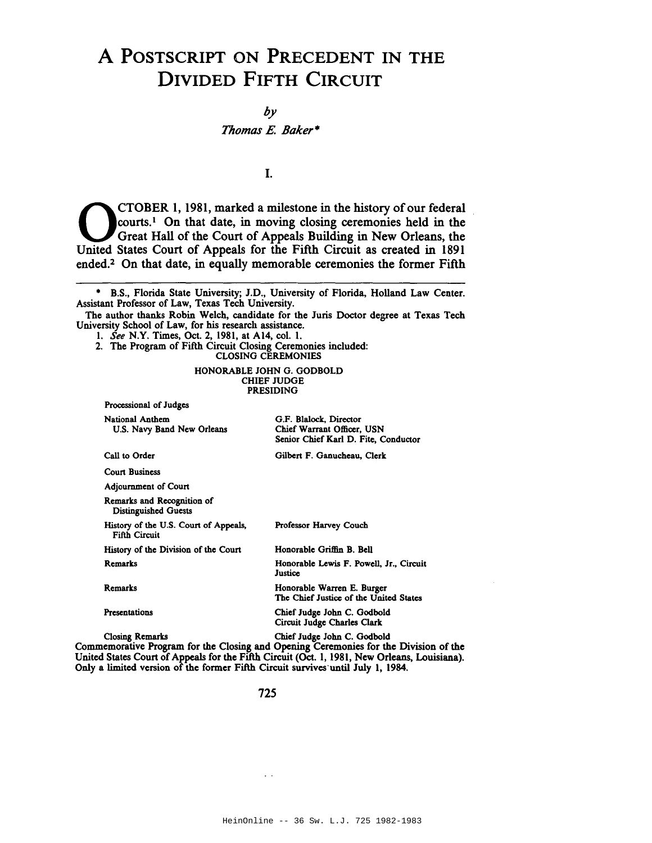## A POSTSCRIPT ON PRECEDENT IN THE DIVIDED FIFTH CIRCUIT

by

*Thomas* E. *Baker·*

I.

CTOBER 1, 1981, marked a milestone in the history of our federal<br>Courts.<sup>1</sup> On that date, in moving closing ceremonies held in the<br>Great Hall of the Court of Appeals Building in New Orleans, the<br>United States Court of Appe courts.<sup>1</sup> On that date, in moving closing ceremonies held in the Great Hall of the Court of Appeals Building in New Orleans, the United States Court of Appeals for the Fifth Circuit as created in 1891 ended.2 On that date, in equally memorable ceremonies the former Fifth

- 1. *See* N.Y. Times, Oct. 2, 1981, at A14, col. 1.
- 2. The Program of Fifth Circuit Closing Ceremonies included: CLOSING CEREMONIES

HONORABLE JOHN G. GODBOLD CHIEF JUDGE PRESIDING

| Processional of Judges                                        |                                                                                                  |
|---------------------------------------------------------------|--------------------------------------------------------------------------------------------------|
| <b>National Anthem</b><br>U.S. Navy Band New Orleans          | G.F. Blalock, Director<br>Chief Warrant Officer, USN<br>Senior Chief Karl D. Fite, Conductor     |
| Call to Order                                                 | Gilbert F. Ganucheau, Clerk                                                                      |
| <b>Court Business</b>                                         |                                                                                                  |
| Adjournment of Court                                          |                                                                                                  |
| Remarks and Recognition of<br><b>Distinguished Guests</b>     |                                                                                                  |
| History of the U.S. Court of Appeals,<br><b>Fifth Circuit</b> | <b>Professor Harvey Couch</b>                                                                    |
| History of the Division of the Court                          | Honorable Griffin B. Bell                                                                        |
| Remarks                                                       | Honorable Lewis F. Powell, Jr., Circuit<br>Justice                                               |
| Remarks                                                       | Honorable Warren E. Burger<br>The Chief Justice of the United States                             |
| Presentations                                                 | Chief Judge John C. Godbold<br>Circuit Judge Charles Clark                                       |
| <b>Closing Remarks</b>                                        | Chief Judge John C. Godbold<br>a Descessor for the Clasica and Ocenina Commonics for the Divisio |

Commemorative Program for the Closing and Opening Ceremonies for the Division of the United States Court of Appeals for the Fifth Circuit (Oct. I, 1981, New Orleans, Louisiana). Only a limited version of the former Fifth Circuit survives'until July I, 1984.

725

 $\epsilon$  .

<sup>•</sup> B.S., Florida State University; J.D., University of Florida, Holland Law Center. Assistant Professor of Law, Texas Tech University.

The author thanks Robin Welch, candidate for the Juris Doctor degree at Texas Tech University School of Law, for his research assistance.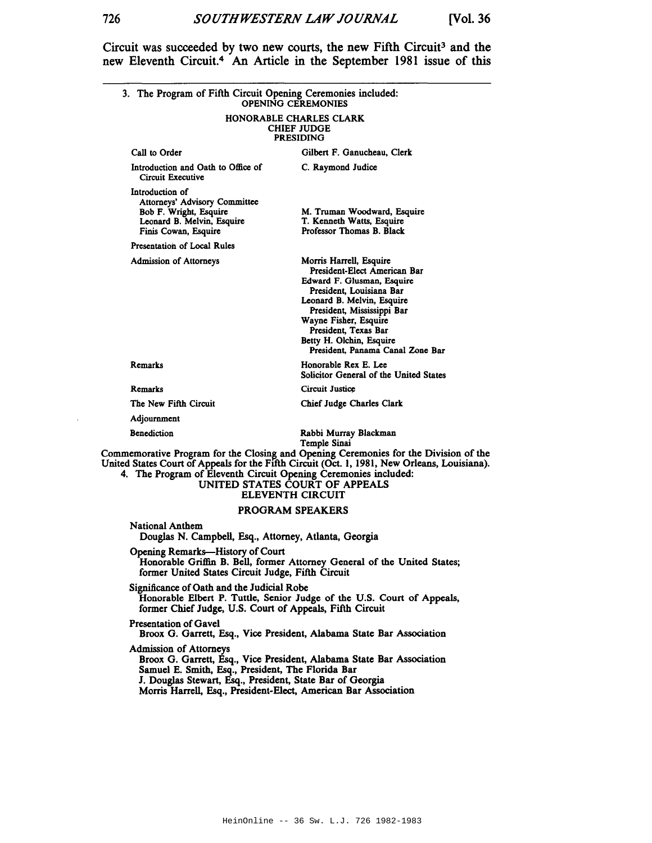Circuit was succeeded by two new courts, the new Fifth Circuit<sup>3</sup> and the new Eleventh Circuit.4 An Article in the September 1981 issue of this

| 3. The Program of Fifth Circuit Opening Ceremonies included:                                                                     | <b>OPENING CEREMONIES</b>                                                                                                                                                                                                                                                                      |
|----------------------------------------------------------------------------------------------------------------------------------|------------------------------------------------------------------------------------------------------------------------------------------------------------------------------------------------------------------------------------------------------------------------------------------------|
|                                                                                                                                  | HONORABLE CHARLES CLARK<br><b>CHIEF JUDGE</b><br><b>PRESIDING</b>                                                                                                                                                                                                                              |
| Call to Order                                                                                                                    | Gilbert F. Ganucheau, Clerk                                                                                                                                                                                                                                                                    |
| Introduction and Oath to Office of<br>Circuit Executive                                                                          | C. Raymond Judice                                                                                                                                                                                                                                                                              |
| Introduction of<br>Attorneys' Advisory Committee<br>Bob F. Wright, Esquire<br>Leonard B. Melvin, Esquire<br>Finis Cowan, Esquire | M. Truman Woodward, Esquire<br>T. Kenneth Watts, Esquire<br>Professor Thomas B. Black                                                                                                                                                                                                          |
| Presentation of Local Rules                                                                                                      |                                                                                                                                                                                                                                                                                                |
| <b>Admission of Attorneys</b>                                                                                                    | Morris Harrell, Esquire<br>President-Elect American Bar<br>Edward F. Glusman, Esquire<br>President, Louisiana Bar<br>Leonard B. Melvin, Esquire<br>President, Mississippi Bar<br>Wayne Fisher, Esquire<br>President, Texas Bar<br>Betty H. Olchin, Esquire<br>President, Panama Canal Zone Bar |
| Remarks                                                                                                                          | Honorable Rex E. Lee<br>Solicitor General of the United States                                                                                                                                                                                                                                 |
| Remarks                                                                                                                          | Circuit Justice                                                                                                                                                                                                                                                                                |
| The New Fifth Circuit                                                                                                            | <b>Chief Judge Charles Clark</b>                                                                                                                                                                                                                                                               |
| Adjournment                                                                                                                      |                                                                                                                                                                                                                                                                                                |
| <b>Benediction</b>                                                                                                               | Rabbi Murray Blackman<br>Temple Sinai                                                                                                                                                                                                                                                          |
| 4. The Program of Eleventh Circuit Opening Ceremonies included:                                                                  | Commemorative Program for the Closing and Opening Ceremonies for the Division of the<br>United States Court of Appeals for the Fifth Circuit (Oct. 1, 1981, New Orleans, Louisiana).<br>UNITED STATES COURT OF APPEALS<br><b>ELEVENTH CIRCUIT</b>                                              |
|                                                                                                                                  | PROGRAM SPEAKERS                                                                                                                                                                                                                                                                               |
| <b>National Anthem</b><br>Douglas N. Campbell, Esq., Attorney, Atlanta, Georgia                                                  |                                                                                                                                                                                                                                                                                                |
| Opening Remarks-History of Court<br>former United States Circuit Judge, Fifth Circuit                                            | Honorable Griffin B. Bell, former Attorney General of the United States;                                                                                                                                                                                                                       |
| Significance of Oath and the Judicial Robe<br>former Chief Judge, U.S. Court of Appeals, Fifth Circuit                           | Honorable Elbert P. Tuttle, Senior Judge of the U.S. Court of Appeals,                                                                                                                                                                                                                         |
| Presentation of Gavel                                                                                                            | Broox G. Garrett, Esq., Vice President, Alabama State Bar Association                                                                                                                                                                                                                          |
| <b>Admission of Attorneys</b>                                                                                                    | Broom C. Comett, Egg., Vice Bresident, Alekania State Bar, Association.                                                                                                                                                                                                                        |

Broox G. Garrett, Esq., Vice President, Alabama State Bar Association Samuel E. Smith, Esq., President, The Florida Bar J. Douglas Stewart, Esq., President, State Bar of Georgia Morris Harrell, Esq., President-Elect, American Bar Association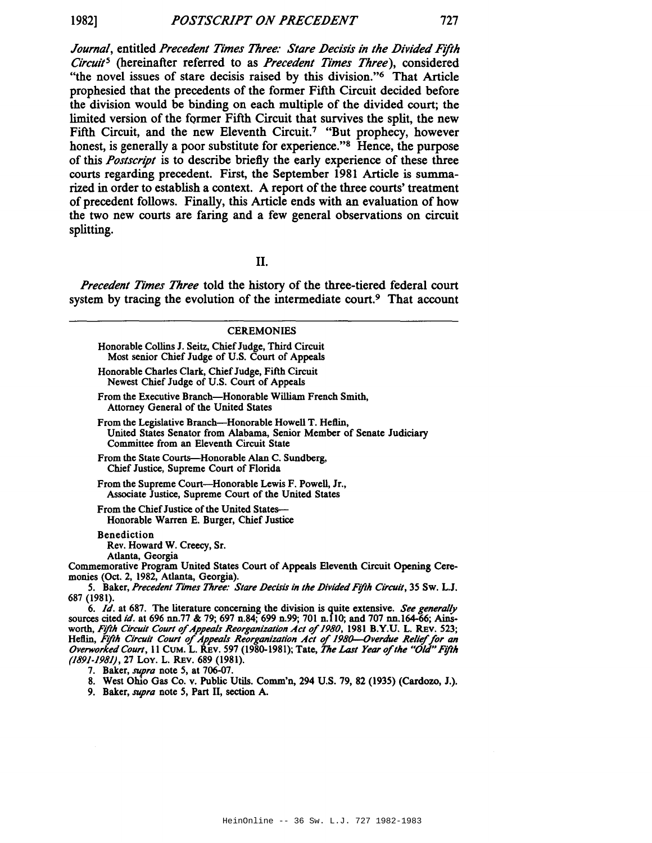*Journal*, entitled Precedent Times Three: Stare Decisis in the Divided Fifth *CircuitS* (hereinafter referred to as *Precedent Times Three),* considered "the novel issues of stare decisis raised by this division."<sup>6</sup> That Article prophesied that the precedents of the former Fifth Circuit decided before the division would be binding on each multiple of the divided court; the limited version of the former Fifth Circuit that survives the split, the new Fifth Circuit, and the new Eleventh Circuit.<sup>7</sup> "But prophecy, however honest, is generally a poor substitute for experience."<sup>8</sup> Hence, the purpose of this *Postscript* is to describe briefly the early experience of these three courts regarding precedent. First, the September 1981 Article is summarized in order to establish a context. A report of the three courts' treatment of precedent follows. Finally, this Article ends with an evaluation of how the two new courts are faring and a few general observations on circuit splitting.

II.

*Precedent Times Three* told the history of the three-tiered federal court system by tracing the evolution of the intermediate court.<sup>9</sup> That account

| <b>CEREMONIES</b>                                                                                                                                                                                                                                                                                                                                                                                                                                                             |
|-------------------------------------------------------------------------------------------------------------------------------------------------------------------------------------------------------------------------------------------------------------------------------------------------------------------------------------------------------------------------------------------------------------------------------------------------------------------------------|
| Honorable Collins J. Seitz, Chief Judge, Third Circuit<br>Most senior Chief Judge of U.S. Court of Appeals                                                                                                                                                                                                                                                                                                                                                                    |
| Honorable Charles Clark, Chief Judge, Fifth Circuit<br>Newest Chief Judge of U.S. Court of Appeals                                                                                                                                                                                                                                                                                                                                                                            |
| From the Executive Branch—Honorable William French Smith.<br>Attorney General of the United States                                                                                                                                                                                                                                                                                                                                                                            |
| From the Legislative Branch—Honorable Howell T. Heflin,<br>United States Senator from Alabama, Senior Member of Senate Judiciary<br>Committee from an Eleventh Circuit State                                                                                                                                                                                                                                                                                                  |
| From the State Courts—Honorable Alan C. Sundberg,<br>Chief Justice, Supreme Court of Florida                                                                                                                                                                                                                                                                                                                                                                                  |
| From the Supreme Court—Honorable Lewis F. Powell, Jr.,<br>Associate Justice, Supreme Court of the United States                                                                                                                                                                                                                                                                                                                                                               |
| From the Chief Justice of the United States—<br>Honorable Warren E. Burger, Chief Justice                                                                                                                                                                                                                                                                                                                                                                                     |
| <b>Benediction</b><br>Rev. Howard W. Creecy, Sr.<br>Atlanta, Georgia<br>Commemorative Program United States Court of Appeals Eleventh Circuit Opening Cere-<br>monies (Oct. 2, 1982, Atlanta, Georgia).                                                                                                                                                                                                                                                                       |
| 5. Baker, Precedent Times Three: Stare Decisis in the Divided Fifth Circuit, 35 Sw. L.J.<br>687 (1981).                                                                                                                                                                                                                                                                                                                                                                       |
| 6. Id. at 687. The literature concerning the division is quite extensive. See generally<br>sources cited id. at 696 nn.77 & 79; 697 n.84; 699 n.99; 701 n.110; and 707 nn.164-66; Ains-<br>worth, Fifth Circuit Court of Appeals Reorganization Act of 1980, 1981 B.Y.U. L. REV. 523;<br>Heflin, Fifth Circuit Court of Appeals Reorganization Act of 1980-Overdue Relief for an<br>Overworked Court, 11 CUM. L. REV. 597 (1980-1981); Tate, The Last Year of the "Old" Fifth |

(1891-1981),27 Loy. L. REv. 689 (1981).

7. Baker, *supra* note 5, at 706-07.

8. West Ohio Gas Co. v. Public Utils. Comm'n, 294 U.S. 79, 82 (1935) (Cardozo, J.).

9. Baker, *supra* note 5, Part II, section A.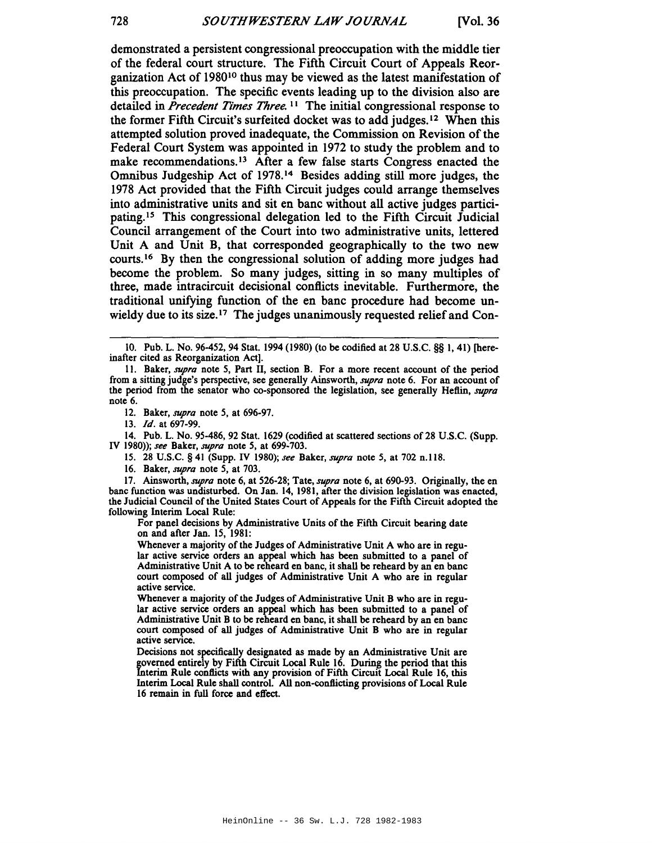demonstrated a persistent congressional preoccupation with the middle tier of the federal court structure. The Fifth Circuit Court of Appeals Reorganization Act of 198010 thus may be viewed as the latest manifestation of this preoccupation. The specific events leading up to the division also are detailed in *Precedent Times Three.* II The initial congressional response to the former Fifth Circuit's surfeited docket was to add judges. <sup>12</sup> When this attempted solution proved inadequate, the Commission on Revision of the Federal Court System was appointed in 1972 to study the problem and to make recommendations.<sup>13</sup> After a few false starts Congress enacted the Omnibus Judgeship Act of 1978. <sup>14</sup> Besides adding still more judges, the 1978 Act provided that the Fifth Circuit judges could arrange themselves into administrative units and sit en banc without all active judges participating. IS This congressional delegation led to the Fifth Circuit Judicial Council arrangement of the Court into two administrative units, lettered Unit A and Unit B, that corresponded geographically to the two new courts.<sup>16</sup> By then the congressional solution of adding more judges had become the problem. So many judges, sitting in so many multiples of three, made intracircuit decisional conflicts inevitable. Furthermore, the traditional unifying function of the en bane procedure had become unwieldy due to its size.<sup>17</sup> The judges unanimously requested relief and Con-

14. Pub. L. No. 95-486, 92 Stat. 1629 (codified at scattered sections of28 U.S.c. (Supp. IY 1980»; *see* Baker, *supra* note 5, at 699·703.

15. 28 U.S.C. § 41 (Supp. IV 1980); *see* Baker, *supra* note 5, at 702 n.118.

16. Baker, *supra* note 5, at 703.

17. Ainsworth, *supra* note 6, at 526-28; Tate, *supra* note 6, at 690-93. Originally, the en banc function was undisturbed. On Jan. 14, 1981, after the division legislation was enacted, the Judicial Council of the United States Court of Appeals for the Fifth Circuit adopted the following Interim Local Rule:

For panel decisions by Administrative Units of the Fifth Circuit bearing date on and after Jan. 15, 1981:

Whenever a majority of the Judges of Administrative Unit A who are in regular active service orders an appeal which has been submitted to a panel of Administrative Unit A to be reheard en banc, it shall be reheard by an en banc court composed of all judges of Administrative Unit A who are in regular active service.

Whenever a majority of the Judges of Administrative Unit B who are in regular active service orders an appeal which has been submitted to a panel of Administrative Unit B to be reheard en banc, it shall be reheard by an en banc court composed of all judges of Administrative Unit B who are in regular active service.

Decisions not specifically designated as made by an Administrative Unit are governed entirely by Fifth Circuit Local Rule 16. During the period that this Interim Rule conftiets with any provision of Fifth Circuit Local Rule 16, this Interim Local Rule shall control. All non-conflicting provisions of Local Rule 16 remain in full force and effect.

<sup>10.</sup> Pub. L. No. 96-452, 94 Stat. 1994 (1980) (to be codified at 28 U.S.C. §§ 1,41) [hereinafter cited as Reorganization Act].

II. Baker, *supra* note 5, Part II, section B. For a more recent account of the period from a sitting judge's perspective, see generally Ainsworth, *supra* note 6. For an account of the period from the senator who co-sponsored the legislation, see generally Heflin, *supra* note 6.

<sup>12.</sup> Baker, *supra* note 5, at 696-97.

*<sup>13.</sup> Id.* at 697-99.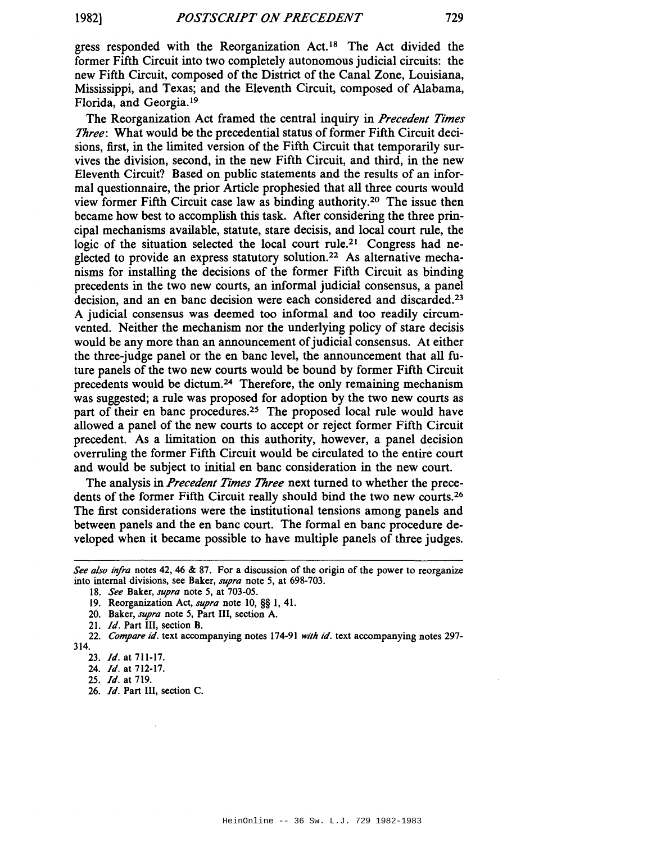gress responded with the Reorganization Act.<sup>18</sup> The Act divided the former Fifth Circuit into two completely autonomous judicial circuits: the new Fifth Circuit, composed of the District of the Canal Zone, Louisiana, Mississippi, and Texas; and the Eleventh Circuit, composed of Alabama, Florida, and Georgia. <sup>19</sup>

The Reorganization Act framed the central inquiry in *Precedent Times Three*: What would be the precedential status of former Fifth Circuit decisions, first, in the limited version of the Fifth Circuit that temporarily survives the division, second, in the new Fifth Circuit, and third, in the new Eleventh Circuit? Based on public statements and the results of an informal questionnaire, the prior Article prophesied that all three courts would view former Fifth Circuit case law as binding authority.2o The issue then became how best to accomplish this task. After considering the three principal mechanisms available, statute, stare decisis, and local court rule, the logic of the situation selected the local court rule.<sup>21</sup> Congress had neglected to provide an express statutory solution.22 As alternative mechanisms for installing the decisions of the former Fifth Circuit as binding precedents in the two new courts, an informal judicial consensus, a panel decision, and an en banc decision were each considered and discarded.23 A judicial consensus was deemed too informal and too readily circumvented. Neither the mechanism nor the underlying policy of stare decisis would be any more than an announcement of judicial consensus. At either the three-judge panel or the en banc level, the announcement that all future panels of the two new courts would be bound by former Fifth Circuit precedents would be dietum.24 Therefore, the only remaining mechanism was suggested; a rule was proposed for adoption by the two new courts as part of their en banc procedures.<sup>25</sup> The proposed local rule would have allowed a panel of the new courts to accept or reject former Fifth Circuit precedent. As a limitation on this authority, however, a panel decision overruling the former Fifth Circuit would be circulated to the entire court and would be subject to initial en banc consideration in the new court.

The analysis in *Precedent Times Three* next turned to whether the precedents of the former Fifth Circuit really should bind the two new courts.<sup>26</sup> The first considerations were the institutional tensions among panels and between panels and the en banc court. The formal en banc procedure developed when it became possible to have multiple panels of three judges.

26. *Id.* Part III, section C.

*See a/so infra* notes 42, 46 & 87. For a discussion of the origin of the power to reorganize into internal divisions, see Baker, *supra* note 5, at 698-703.

*<sup>18.</sup> See* Baker, *supra* note 5, at 703-05.

<sup>19.</sup> Reorganization Act, *supra* note 10, §§ 1,41.

<sup>20.</sup> Baker, *supra* note 5, Part III, section A.

*<sup>21.</sup> Id.* Part III, section B.

*<sup>22.</sup> Compare id.* text accompanying notes 174-91 *with id.* text accompanying notes 297- 314.

*<sup>23.</sup> Id.* at 711-17.

<sup>24.</sup> *Id.* at 712-17.

*<sup>25.</sup> Id.* at 719.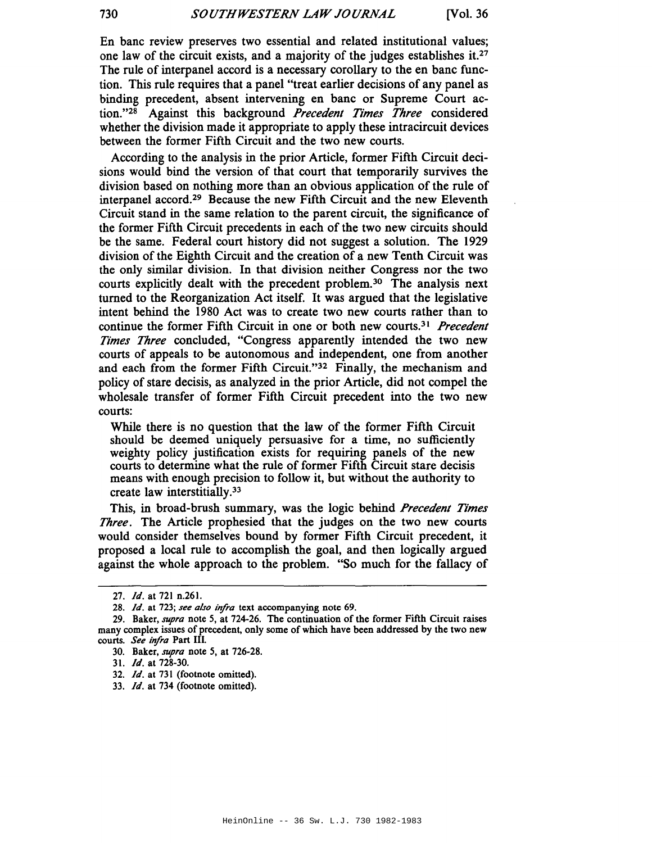En banc review preserves two essential and related institutional values; one law of the circuit exists, and a majority of the judges establishes it.27 The rule of interpanel accord is a necessary corollary to the en banc function. This rule requires that a panel "treat earlier decisions of any panel as binding precedent, absent intervening en banc or Supreme Court action."28 Against this background *Precedent Times Three* considered whether the division made it appropriate to apply these intracircuit devices between the former Fifth Circuit and the two new courts.

According to the analysis in the prior Article, former Fifth Circuit decisions would bind the version of that court that temporarily survives the division based on nothing more than an obvious application of the rule of interpanel accord.29 Because the new Fifth Circuit and the new Eleventh Circuit stand in the same relation to the parent circuit, the significance of the former Fifth Circuit precedents in each of the two new circuits should be the same. Federal court history did not suggest a solution. The 1929 division of the Eighth Circuit and the creation of a new Tenth Circuit was the only similar division. In that division neither Congress nor the two courts explicitly dealt with the precedent problem.30 The analysis next turned to the Reorganization Act itself. It was argued that the legislative intent behind the 1980 Act was to create two new courts rather than to continue the former Fifth Circuit in one or both new courts.3) *Precedent Times Three* concluded, "Congress apparently intended the two new courts of appeals to be autonomous and independent, one from another and each from the former Fifth Circuit."32 Finally, the mechanism and policy of stare decisis, as analyzed in the prior Article, did not compel the wholesale transfer of former Fifth Circuit precedent into the two new courts:

While there is no question that the law of the former Fifth Circuit should be deemed uniquely persuasive for a time, no sufficiently weighty policy justification exists for requiring panels of the new courts to determine what the rule of former Fifth Circuit stare decisis means with enough precision to follow it, but without the authority to create law interstitially.33

This, in broad-brush summary, was the logic behind *Precedent Times Three.* The Article prophesied that the judges on the two new courts would consider themselves bound by former Fifth Circuit precedent, it proposed a local rule to accomplish the goal, and then logically argued against the whole approach to the problem. "So much for the fallacy of

*<sup>27.</sup> Id.* at 721 n.261.

*<sup>28.</sup> Id.* at 723; *see also infra* text accompanying note 69.

<sup>29.</sup> Baker, *supra* note 5, at 724-26. The continuation of the former Fifth Circuit raises many complex issues of precedent, only some of which have been addressed by the two new courts. *See infra* Part III.

<sup>30.</sup> Baker, *supra* note 5, at 726-28.

<sup>31.</sup> *Id.* at 728-30.

*<sup>32.</sup> Id.* at 731 (footnote omitted).

*<sup>33.</sup> Id.* at 734 (footnote omitted).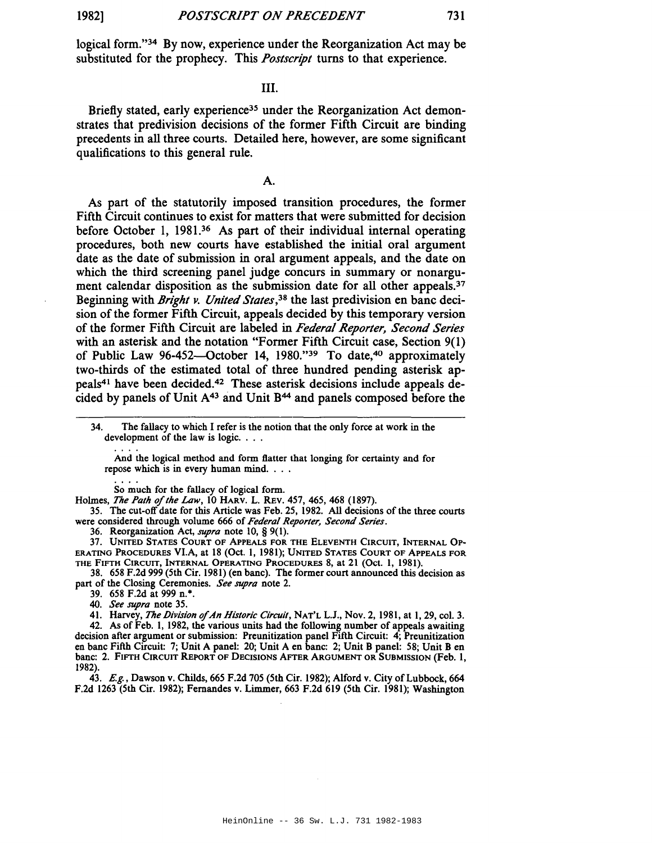logical form."34 By now, experience under the Reorganization Act may be substituted for the prophecy. This *Postscript* turns to that experience.

## III.

Briefly stated, early experience<sup>35</sup> under the Reorganization Act demonstrates that predivision decisions of the former Fifth Circuit are binding precedents in all three courts. Detailed here, however, are some significant qualifications to this general rule.

A.

As part of the statutorily imposed transition procedures, the former Fifth Circuit continues to exist for matters that were submitted for decision before October 1, 1981.3<sup>6</sup> As part of their individual internal operating procedures, both new courts have established the initial oral argument date as the date of submission in oral argument appeals, and the date on which the third screening panel judge concurs in summary or nonargument calendar disposition as the submission date for all other appeals.<sup>37</sup> Beginning with *Bright v. United States,*38 the last predivision en banc decision of the former Fifth Circuit, appeals decided by this temporary version of the former Fifth Circuit are labeled in *Federal Reporter, Second Series* with an asterisk and the notation "Former Fifth Circuit case, Section 9(1) of Public Law 96-452-0ctober 14, 1980."39 To date,40 approximately two-thirds of the estimated total of three hundred pending asterisk appeals41 have been decided.42 These asterisk decisions include appeals decided by panels of Unit A43 and Unit B44 and panels composed before the

And the logical method and form flatter that longing for certainty and for repose which is in every human mind. . . .

So much for the fallacy of logical form.

Holmes, *The Path* of*the Law,* 10 HARV. L. REv. 457, 465, 468 (1897).

35. The cut-off date for this Article was Feb. 25,1982. All decisions ofthe three courts were considered through volume 666 of *Federal Reporter, Second Series.*

36. Reorganization Act, *supra* note 10, § 9(1).

37. UNITED STATES COURT OF ApPEALS FOR THE ELEVENTH CIRCUIT, INTERNAL OP-ERATING PROCEDURES VI.A, at 18 (Oct. 1, 1981); UNITED STATES COURT OF ApPEALS FOR THE FIFTH CIRCUIT, INTERNAL OPERATING PROCEDURES 8, at 21 (Oct. I, 1981).

38. 658 F.2d 999 (5th Cir. 1981) (en banc). The former court announced this decision as part of the Closing Ceremonies. *See supra* note 2.

39. 658 F.2d at 999 n.\*.

*40. See supra* note 35.

41. Harvey, *The lJivision* of*An Historic Circuit,* NAT'L L.J., Nov. 2, 1981, at 1,29, col. 3. 42. As of Feb. I, 1982, the various units had the following number of appeals awaiting decision after argument or submission: Preunitization panel Fifth Circuit: 4; Preunitization en banc Fifth Circuit: 7; Unit A panel: 20; Unit A en banc: 2; Unit B panel: 58; Unit B en banc: 2. FIFTH CIRCUIT REPORT OF DECISIONS AFTER ARGUMENT OR SUBMISSION (Feb. I, 1982)

43. E.g., Dawson v. Childs, 665 F.2d 705 (5th Cir. 1982); Alford v. City of Lubbock, 664 F.2d 1263 (5th Cir. 1982); Fernandes v. Limmer, 663 F.2d 619 (5th Cir. 1981); Washington

<sup>34.</sup> The fallacy to which I refer is the notion that the only force at work in the development of the law is logic. . . .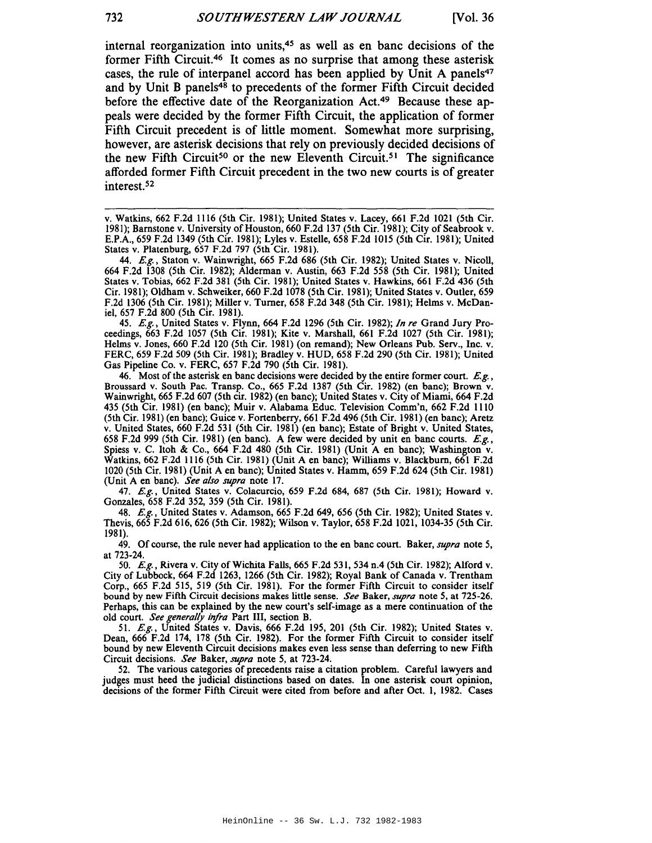internal reorganization into units,45 as well as en bane decisions of the former Fifth Circuit.46 It comes as no surprise that among these asterisk cases, the rule of interpanel accord has been applied by Unit A panels<sup>47</sup> and by Unit B panels $48$  to precedents of the former Fifth Circuit decided before the effective date of the Reorganization Act.<sup>49</sup> Because these appeals were decided by the former Fifth Circuit, the application of former Fifth Circuit precedent is of little moment. Somewhat more surprising, however, are asterisk decisions that rely on previously decided decisions of the new Fifth Circuit<sup>50</sup> or the new Eleventh Circuit.<sup>51</sup> The significance afforded former Fifth Circuit precedent in the two new courts is of greater interest.52

45. *E.g.,* United States v. Flynn, 664 F.2d 1296 (5th Cir. 1982); *In re* Grand Jury Proceedings, 663 F.2d 1057 (5th Cir. 1981); Kite v. Marshall, 661 F.2d 1027 (5th Cir. 1981); Helms v. Jones, 660 F.2d 120 (5th Cir. 1981) (on remand); New Orleans Pub. Serv., Inc. v. FERC, 659 F.2d 509 (5th Cir. 1981); Bradley v. HUD, 658 F.2d 290 (5th Cir. 1981); United Gas Pipeline Co. v. FERC, 657 F.2d 790 (5th Cir. 1981).

46. Most of the asterisk en banc decisions were decided by the entire former court.  $E.g.$ Broussard v. South Pac. Transp. Co., <sup>665</sup> F.2d <sup>1387</sup> (5th Cir. 1982) (en bane); Brown v. Wainwright, <sup>665</sup> F.2d <sup>607</sup> (5th cir. 1982) (en bane); United States v. City of Miami, <sup>664</sup> F.2d 435 (5th Cir. 1981) (en bane); Muir v. Alabama Educ. Television Comm'n, 662 F.2d 1110 (5th Cir. 1981) (en bane); Guice v. Fortenberry, 661 F.2d 496 (5th Cir. 1981) (en bane); Aretz v. United States, 660 F.2d 531 (5th Cir. 1981) (en bane); Estate of Bright v. United States, 658 F.2d 999 (5th Cir. 1981) (en bane). A few were decided by unit en bane courts. *E.g.,* Spiess v. C. Itoh & Co., 664 F.2d 480 (5th Cir. 1981) (Unit A en bane); Washington v. Watkins, 662 F.2d 1116 (5th Cir. 1981) (Unit A en bane); Williams v. Blackburn, 661 F.2d 1020 (5th Cir. 1981) (Unit A en bane); United States v. Hamm, 659 F.2d 624 (5th Cir. 1981) (Unit A en bane). *See also supra* note 17.

47. *E.g.,* United States v. Colacurcio, <sup>659</sup> F.2d 684, <sup>687</sup> (5th Cir. 1981); Howard v. Gonzales, <sup>658</sup> F.2d 352, <sup>359</sup> (5th Cir. 1981).

48. *E.g.,* United States v. Adamson, <sup>665</sup> F.2d 649, <sup>656</sup> (5th Cir. 1982); United States v. Thevis, <sup>665</sup> F.2d 616, <sup>626</sup> (5th Cir. 1982); Wilson v. Taylor, <sup>658</sup> F.2d 1021, 1034-35 (5th Cir. 1981).

49. Of course, the rule never had application to the en bane court. Baker, *supra* note 5, at 723-24.

50. *E.g.,* Rivera v. City of Wichita Falls, <sup>665</sup> F.2d 531, <sup>534</sup> n.4 (5th Cir. 1982); Alford v. City of Lubbock, <sup>664</sup> F.2d 1263, <sup>1266</sup> (5th Cir. 1982); Royal Bank of Canada v. Trentham Corp., 665 F.2d 515, 519 (5th Cir. 1981). For the former Fifth Circuit to consider itself bound by new Fifth Circuit decisions makes little sense. *See* Baker, *supra* note 5, at 725-26. Perhaps, this can be explained by the new court's self-image as a mere continuation of the old court. *See generally infra* Part III, section B.

*51. E.g.,* United States v. Davis, 666 F.2d 195,201 (5th Cir. 1982); United States v. Dean, 666 F.2d 174, 178 (5th Cir. 1982). For the former Fifth Circuit to consider itself bound by new Eleventh Circuit decisions makes even less sense than deferring to new Fifth Circuit decisions. *See* Baker, *supra* note 5, at 723-24.

52. The various categories of precedents raise a citation problem. Careful lawyers and judges must heed the judicial distinctions based on dates. In one asterisk court opinion, decisions of the former Fifth Circuit were cited from before and after Oct. 1, 1982. Cases

v. Watkins, 662 F.2d 1116 (5th Cir. 1981); United States v. Lacey, 661 F.2d 1021 (5th Cir. E.P.A., 659 F.2d 1349 (5th Cir. 1981); Lyles v. Estelle, 658 F.2d 1015 (5th Cir. 1981); United States v. Platenburg, 657 F.2d 797 (5th Cir. 1981).

<sup>44.</sup> *E.g.,* Staton v. Wainwright, 665 F.2d 686 (5th Cir. 1982); United States v. Nicoll, 664 F.2d 1308 (5th Cir. 1982); Alderman v. Austin, 663 F.2d 558 (5th Cir. 1981); United States v. Tobias, 662 F.2d 381 (5th Cir. 1981); United States v. Hawkins, 661 F.2d 436 (5th Cir. 1981); Oldham v. Schweiker, 660 F.2d 1078 (5th Cir. 1981); United States v. Ouder, 659 F.2d 1306 (5th Cir. 1981); Miller v. Turner, 658 F.2d 348 (5th Cir. 1981); Helms v. McDaniel, 657 F.2d 800 (5th Cir. 1981).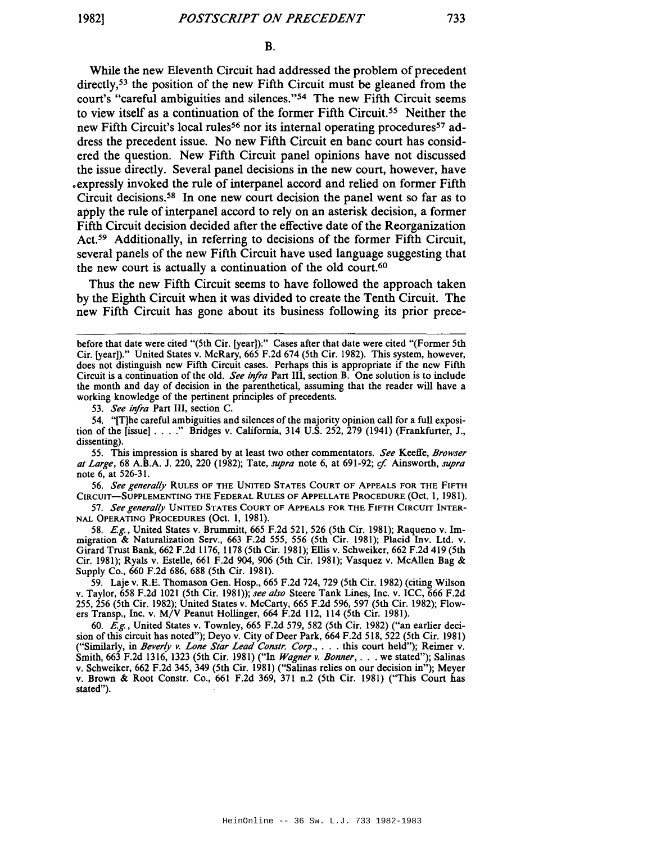733

While the new Eleventh Circuit had addressed the problem of precedent directly,<sup>53</sup> the position of the new Fifth Circuit must be gleaned from the court's "careful ambiguities and silences."54 The new Fifth Circuit seems to view itself as a continuation of the former Fifth Circuit.<sup>55</sup> Neither the new Fifth Circuit's local rules<sup>56</sup> nor its internal operating procedures<sup>57</sup> address the precedent issue. No new Fifth Circuit en bane court has considered the question. New Fifth Circuit panel opinions have not discussed the issue directly. Several panel decisions in the new court, however, have expressly invoked the rule of interpanel accord and relied on former Fifth Circuit decisions.58 In one new court decision the panel went so far as to apply the rule of interpanel accord to rely on an asterisk decision, a former Fifth Circuit decision decided after the effective date of the Reorganization ACt.<sup>59</sup> Additionally, in referring to decisions of the former Fifth Circuit, several panels of the new Fifth Circuit have used language suggesting that the new court is actually a continuation of the old court.<sup>60</sup>

Thus the new Fifth Circuit seems to have followed the approach taken by the Eighth Circuit when it was divided to create the Tenth Circuit. The new Fifth Circuit has gone about its business following its prior prece-

*53. See infra* Part III, section C.

54. "[T]he careful ambiguities and silences of the majority opinion call for a full exposition of the [issue] ...." Bridges v. California, <sup>314</sup> U.S. 252, <sup>279</sup> (1941) (Frankfurter, J., dissenting).

55. This impression is shared by at least two other commentators. *See* Keeffe, *Browser al Large,* <sup>68</sup> A.B.A. J. 220, <sup>220</sup> (1982); Tate, *supra* note 6, at 691-92; if Ainsworth, *supra* note 6, at 526-31.

*56. See generally* RULES OF THE UNITED STATES COURT OF ApPEALS FOR THE FIFTH CIRCUIT-SUPPLEMENTING THE FEDERAL RULES OF ApPELLATE PROCEDURE (Oct. 1, 1981).

*57. See generally* UNITED STATES COURT OF ApPEALS FOR THE FIFTH CIRCUIT INTER-NAL OPERATING PROCEDURES (Oct. 1, 1981).

58. *E.g.,* United States v. Brummitt, 665 F.2d 521, 526 (5th Cir. 1981); Raqueno v. Immigration & Naturalization Serv., 663 F.2d 555, 556 (5th Cir. 1981); Placid Inv. Ltd. v. Girard Trust Bank, 662 F.2d 1176, 1178 (5th Cir. 1981); Ellis v. Schweiker, 662 F.2d 419 (5th Cir. 1981); Ryals v. Estelle, 661 F.2d 904, 906 (5th Cir. 1981); Vasquez v. McAllen Bag & Supply Co., 660 F.2d 686, 688 (5th Cir. 1981).

59. Laje v. R.E. Thomason Gen. Hosp., 665 F.2d 724, 729 (5th Cir. 1982) (citing Wilson v. Taylor, 658 F.2d 1021 (5th Cir. 1981»; *see also* Steere Tank Lines, Inc. v. ICC, 666 F.2d 255, 256 (5th Cir. 1982); United States v. McCarty, 665 F.2d 596, 597 (5th Cir. 1982); Flowers Transp., Inc. v. MjV Peanut Hollinger, 664 F.2d 112, 114 (5th Cir. 1981).

60. *E.g.,* United States v. Townley, 665 F.2d 579, 582 (5th Cir. 1982) ("an earlier decision of this circuit has noted"); Deyo v. City of Deer Park, 664 F.2d 518, 522 (5th Cir. 1981) ("Similarly, in *Beverly v. Lone Slar Lead Conslr. Corp.,* ... this court held"); Reimer v. Smith, <sup>663</sup> F.2d 1316, <sup>1323</sup> (5th Cir. 1981) ("In *Wagner v. Bonner, .* .. we stated"); Salinas v. Schweiker, 662 F.2d 345, 349 (5th Cir. 1981) ("Salinas relies on our decision in"); Meyer v. Brown & Root Constr. Co., 661 F.2d 369, 371 n.2 (5th Cir. 1981) ("This Court has stated").

before that date were cited "(5th Cir. [year]):" Cases after that date were cited "(Former 5th Cir. [year])." United States v. McRary, 665 F.2d 674 (5th Cir. 1982). This system, however, does not distinguish new Fifth Circuit cases. Perhaps this is appropriate if the new Fifth Circuit is a continuation of the old. *See infra* Part III, section B. One solution is to include the month and day of decision in the parenthetical, assuming that the reader will have a working knowledge of the pertinent principles of precedents.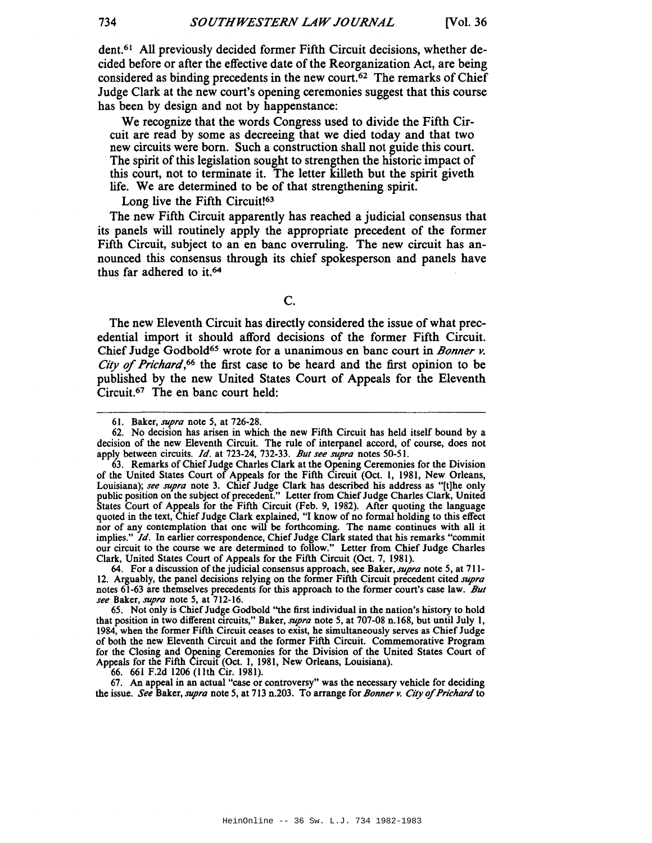dent.61 All previously decided former Fifth Circuit decisions, whether decided before or after the effective date of the Reorganization Act, are being considered as binding precedents in the new court.<sup>62</sup> The remarks of Chief Judge Clark at the new court's opening ceremonies suggest that this course has been by design and not by happenstance:

We recognize that the words Congress used to divide the Fifth Circuit are read by some as decreeing that we died today and that two new circuits were born. Such a construction shall not guide this court. The spirit of this legislation sought to strengthen the historic impact of this court, not to terminate it. The letter killeth but the spirit giveth life. We are determined to be of that strengthening spirit.

Long live the Fifth Circuit<sup>[63</sup>

The new Fifth Circuit apparently has reached a judicial consensus that its panels will routinely apply the appropriate precedent of the former Fifth Circuit, subject to an en banc overruling. The new circuit has announced this consensus through its chief spokesperson and panels have thus far adhered to it.64

c.

The new Eleventh Circuit has directly considered the issue of what precedential import it should afford decisions of the former Fifth Circuit. Chief Judge Godbold<sup>65</sup> wrote for a unanimous en banc court in *Bonner v*. City of*Prichard,66* the first case to be heard and the first opinion to be published by the new United States Court of Appeals for the Eleventh Circuit.67 The en banc court held:

66. 661 F.2d 1206 (11th Cir. 1981).

67. An appeal in an actual "case or controversy" was the necessary vehicle for deciding the issue. *See* Baker, *supra* note 5, at 713 n.203. To arrange for *Bonner v. City of Prichard* to

<sup>61.</sup> Baker, *supra* note 5, at 726-28.

<sup>62.</sup> No decision has arisen in which the new Fifth Circuit has held itself bound by a decision of the new Eleventh Circuit. The rule of interpanel accord, of course, does not apply between circuits. *Id.* at 723-24, 732-33. *But see supra* notes 50-5 I.

<sup>63.</sup> Remarks of Chief Judge Charles Clark at the Opening Ceremonies for the Division of the United States Court of Appeals for the Fifth Circuit (Oct. 1, 1981, New Orleans, Louisiana); *see supra* note 3. Chief Judge Clark has described his address as "[t]he only public position on the subject of precedent." Letter from Chief Judge Charles Clark, United States Court of Appeals for the Fifth Circuit (Feb. 9, 1982). After quoting the language quoted in the text, Chief Judge Clark explained, "I know of no formal holding to this effect nor of any contemplation that one will be forthcoming. The name continues with all it implies." *Id.* In earlier correspondence, Chief Judge Clark stated that his remarks "commit our circuit to the course we are determined to follow." Letter from Chief Judge Charles Clark, United States Court of Appeals for the Fifth Circuit (Oct. 7, 1981).

<sup>64.</sup> For a discussion of the judicial consensus approach, see Baker, *supra* note 5, at 711-12. Arguably, the panel decisions relying on the former Fifth Circuit precedent cited *supra* notes 61-63 are themselves precedents for this approach to the former court's case law. *But see* Baker, *supra* note 5, at 712-16.

<sup>65.</sup> Not only is ChiefJudge Godbold "the first individual in the nation's history to hold that position in two different circuits," Baker, *supra* note 5, at 707-08 n.168, but until July I, 1984, when the former Fifth Circuit ceases to exist, he simultaneously serves as Chief Judge of both the new Eleventh Circuit and the former Fifth Circuit. Commemorative Program for the Closing and Opening Ceremonies for the Division of the United States Court of Appeals for the Fifth Circuit (Oct. 1, 1981, New Orleans, Louisiana).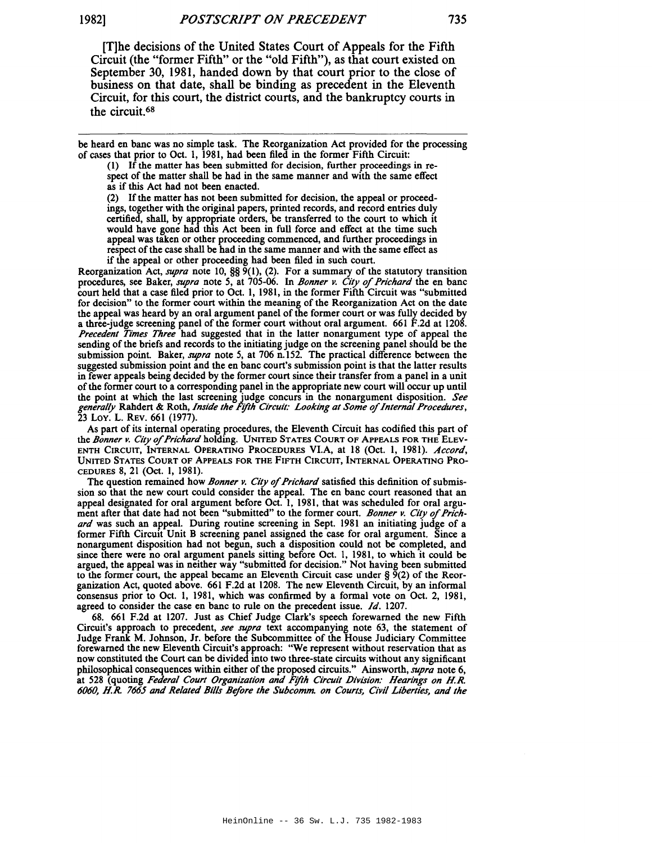[TJhe decisions of the United States Court of Appeals for the Fifth Circuit (the "former Fifth" or the "old Fifth"), as that court existed on September 30, 1981, handed down by that court prior to the close of business on that date, shall be binding as precedent in the Eleventh Circuit, for this court, the district courts, and the bankruptcy courts in the circuit.68

be heard en banc was no simple task. The Reorganization Act provided for the processing of cases that prior to Oct. 1, 1981, had been filed in the former Fifth Circuit:

(I) If the matter has been submitted for decision, further proceedings in respect of the matter shall be had in the same manner and with the same effect as if this Act had not been enacted.

(2) If the matter has not been submitted for decision, the appeal or proceedings, together with the original papers, printed records, and record entries duly certified, shall, by appropriate orders, be transferred to the court to which it would have gone had this Act been in full force and effect at the time such appeal was taken or other proceeding commenced, and further proceedings in respect of the case shall be had in the same manner and with the same effect as if the appeal or other proceeding had been filed in such court.

Reorganization Act, *supra* note 10, §§ 9(1), (2). For a summary of the statutory transition procedures, see Baker, *supra* note 5, at 705-06. In *Bonner v. City* of*Prichard* the en banc court held that a case filed prior to Oct. 1, 1981, in the former Fifth Circuit was "submitted for decision" to the former court within the meaning of the Reorganization Act on the date the appeal was heard by an oral argument panel of the former court or was fully decided by a three-judge screening panel of the former court without oral argument. 661 F.2d at 1208. *Precedent Times Three* had suggested that in the latter nonargument type of appeal the sending of the briefs and records to the initiating judge on the screening panel should be the submission point. Baker, *supra* note 5, at 706 n.152. The practical difference between the suggested submission point and the en banc court's submission point is that the latter results in fewer appeals being decided by the former court since their transfer from a panel in a unit ofthe former court to a corresponding panel in the appropriate new court will occur up until the point at which the last screening judge concurs in the nonargument disposition. See<br>generally Rahdert & Roth, Inside the Fifth Circuit: Looking at Some of Internal Procedures, 23 Loy. L. REV. 661 (1977).

As part of its internal operating procedures, the Eleventh Circuit has codified this part of the *Bonner v. City* of*Prichard* holding. UNITED STATES COURT OF ApPEALS FOR THE ELEV-ENTH CIRCUIT, INTERNAL OPERATING PROCEDURES VI.A, at 18 (Oct. 1, 1981). *Accord,* UNITED STATES COURT OF ApPEALS FOR THE FIFTH CIRCUIT, INTERNAL OPERATING PRO-CEDURES 8, 21 (Oct. I, 1981).

The question remained how *Bonner v. City of Prichard* satisfied this definition of submission so that the new court could consider the appeal. The en banc court reasoned that an appeal designated for oral argument before Oct. I, 1981, that was scheduled for oral argument after that date had not been "submitted" to the former court. *Bonner v. City* of*Prichard* was such an appeal. During routine screening in Sept. 1981 an initiating judge of a former Fifth Circuit Unit B screening panel assigned the case for oral argument. Since a nonargument disposition had not begun, such a disposition could not be completed, and since there were no oral argument panels sitting before Oct. I, 1981, to which it could be argued, the appeal was in neither way "submitted for decision." Not having been submitted to the former court, the appeal became an Eleventh Circuit case under § 9(2) of the Reorganization Act, quoted above. 661 F.2d at 1208. The new Eleventh Circuit, by an informal consensus prior to Oct. I, 1981, which was confirmed by a formal vote on Oct. 2, 1981, agreed to consider the case en banc to rule on the precedent issue. *Id. 1207.*

68. 661 F.2d at 1207. Just as Chief Judge Clark's speech forewarned the new Fifth Circuit's approach to precedent, *see supra* text accompanying note 63, the statement of Judge Frank M. Johnson, Jr. before the Subcommittee of the House Judiciary Committee forewarned the new Eleventh Circuit's approach: "We represent without reservation that as now constituted the Court can be divided into two three-state circuits without any significant philosophical consequences within either of the proposed circuits." Ainsworth, *supra* note 6, at 528 (quoting *Federal Court Organization and F!fth Circuit Division: Hearings on H.R. 6060, H.R.* 766.5 *and Related Bills Before the Subcomm. on Courts, Civil Liberties, and the*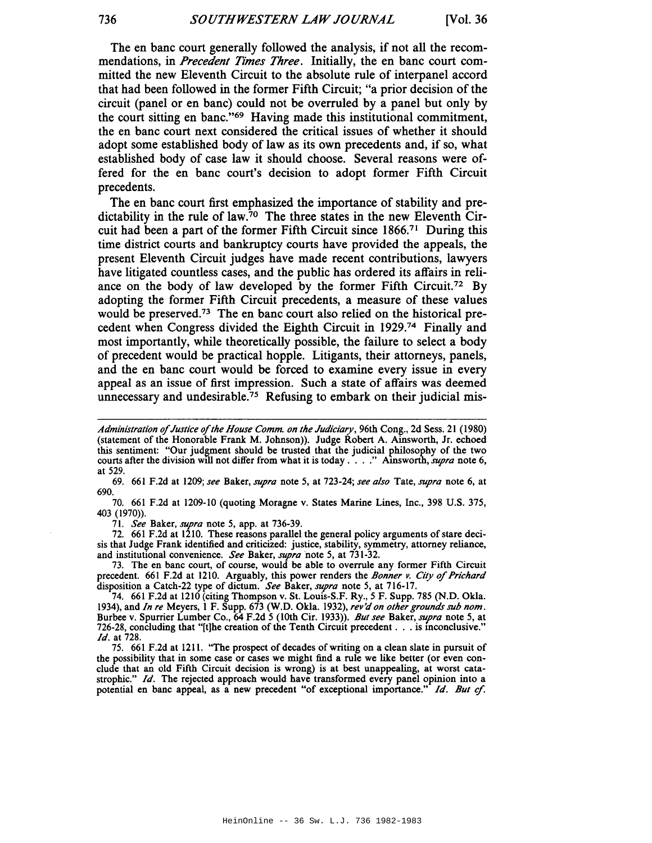The en bane court generally followed the analysis, if not all the recommendations, in *Precedent Times Three.* Initially, the en bane court committed the new Eleventh Circuit to the absolute rule of interpanel accord that had been followed in the former Fifth Circuit; "a prior decision of the circuit (panel or en bane) could not be overruled by a panel but only by the court sitting en banc."69 Having made this institutional commitment, the en bane court next considered the critical issues of whether it should adopt some established body of law as its own precedents and, if so, what established body of case law it should choose. Several reasons were offered for the en bane court's decision to adopt former Fifth Circuit precedents.

The en bane court first emphasized the importance of stability and predictability in the rule of law.<sup>70</sup> The three states in the new Eleventh Circuit had been a part of the former Fifth Circuit since 1866.<sup>71</sup> During this time district courts and bankruptcy courts have provided the appeals, the present Eleventh Circuit judges have made recent contributions, lawyers have litigated countless cases, and the public has ordered its affairs in reliance on the body of law developed by the former Fifth Circuit.72 By adopting the former Fifth Circuit precedents, a measure of these values would be preserved.73 The en bane court also relied on the historical precedent when Congress divided the Eighth Circuit in 1929.<sup>74</sup> Finally and most importantly, while theoretically possible, the failure to select a body of precedent would be practical hopple. Litigants, their attorneys, panels, and the en bane court would be forced to examine every issue in every appeal as an issue of first impression. Such a state of affairs was deemed unnecessary and undesirable.75 Refusing to embark on their judicial mis-

69. 661 F.2d at 1209; *see* Baker, *supra* note 5, at 723-24; *see also* Tate, *supra* note 6, at 690.

70. 661 F.2d at 1209-10 (quoting Moragne v. States Marine Lines, Inc., 398 U.S. 375, 403 (1970».

71. *See* Baker, *supra* note 5, app. at 736-39.

72. 661 F.2d at 1210. These reasons parallel the general policy arguments of stare decisis that Judge Frank identified and criticized: justice, stability, symmetry, attorney reliance, and institutional convenience. *See* Baker, *supra* note 5, at 731-32.

73. The en banc court, of course, would be able to overrule any former Fifth Circuit precedent. 661 F.2d at 1210. Arguably, this power renders the *Bonner v.* City of*Prichard* disposition a Catch-22 type of dictum. *See* Baker, *supra* note 5, at 716-17.

74. 661 F.2d at 1210 (citing Thompson v. St. Louis-S.F. Ry., 5 F. Supp. 785 (N.D. Okla. 1934), and *In re* Meyers, 1 F. Supp. 673 (W.O. Okla. 1932), *rev'd on other grounds sub nom.* Burbee v. Spurrier Lumber Co., 64 F.2d 5 (10th Cir. 1933». *But see* Baker, *supra* note 5, at 726-28, concluding that "[t]he creation of the Tenth Circuit precedent . . . is inconclusive." *Id.* at 728.

75. 661 F.2d at 1211. "The prospect of decades of writing on a clean slate in pursuit of the possibility that in some case or cases we might find a rule we like better (or even conclude that an old Fifth Circuit decision is wrong) is at best unappealing, at worst catastrophic." *Id.* The rejected approach would have transformed every panel opinion into a potential en banc appeal, as a new precedent "of exceptional importance." Id. But cf.

*Administration* of*Justice* of*the House Comm. on the Judiciary,* 96th Cong., 2d Sess. <sup>21</sup> (1980) (statement of the Honorable Frank M. Johnson)). Judge Robert A. Ainsworth, Jr. echoed this sentiment: "Our judgment should be trusted that the judicial philosophy of the two courts after the division will not differ from what it is today . . . ." Ainsworth, *supra* note 6, at 529.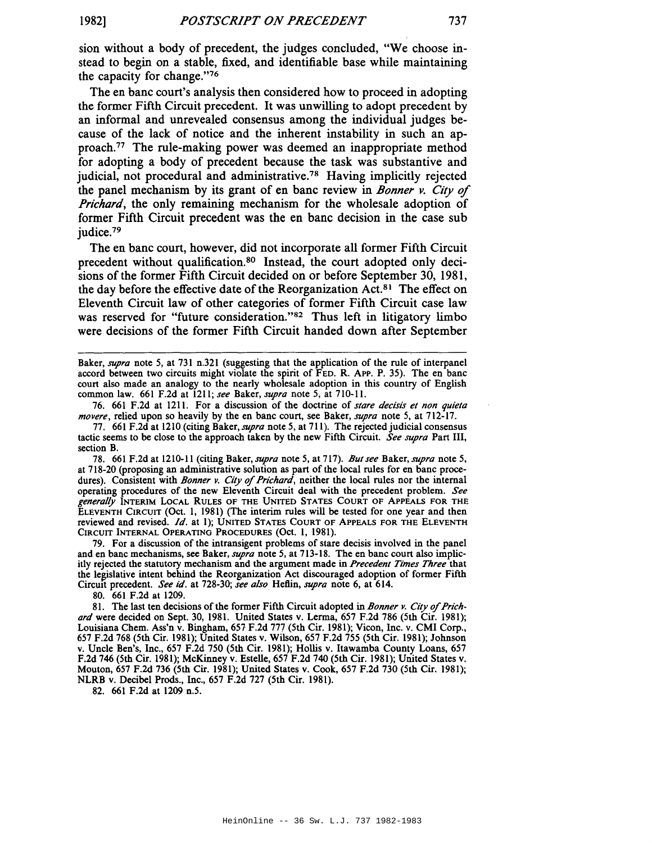sion without a body of precedent, the judges concluded, "We choose instead to begin on a stable, fixed, and identifiable base while maintaining the capacity for change."76

The en bane court's analysis then considered how to proceed in adopting the former Fifth Circuit precedent. It was unwilling to adopt precedent by an informal and unrevealed consensus among the individual judges because of the lack of notice and the inherent instability in such an approach.77 The rule-making power was deemed an inappropriate method for adopting a body of precedent because the task was substantive and judicial, not procedural and administrative.<sup>78</sup> Having implicitly rejected the panel mechanism by its grant of en bane review in *Bonner v. City* of *Prichard,* the only remaining mechanism for the wholesale adoption of former Fifth Circuit precedent was the en bane decision in the case sub judice.79

The en bane court, however, did not incorporate all former Fifth Circuit precedent without qualification.<sup>80</sup> Instead, the court adopted only decisions of the former Fifth Circuit decided on or before September 30, 1981, the day before the effective date of the Reorganization Act.<sup>81</sup> The effect on Eleventh Circuit law of other categories of former Fifth Circuit case law was reserved for "future consideration."<sup>82</sup> Thus left in litigatory limbo were decisions of the former Fifth Circuit handed down after September

76. 661 F.2d at 1211. For a discussion of the doctrine of *stare decisis et non quieta movere,* relied upon so heavily by the en banc court, see Baker, *supra* note 5, at 712-17.

78. 661 F.2d at 1210-11 (citing Baker, *supra* note 5, at 717). *Butsee* Baker, *supra* note 5, at 718-20 (proposing an administrative solution as part of the local rules for en banc procedures). Consistent with *Bonner v. City* of*Prichard,* neither the local rules nor the internal operating procedures of the new Eleventh Circuit deal with the precedent problem. *See generally* INTERIM LOCAL RULES OF THE UNITED STATES COURT OF ApPEALS FOR THE ELEVENTH CIRCUIT (Oct. I, 1981) (The interim rules will be tested for one year and then reviewed and revised. *Id.* at I); UNITED STATES COURT OF ApPEALS FOR THE ELEVENTH CIRCUIT INTERNAL OPERATING PROCEDURES (Oct. I, 1981).

79. For a discussion of the intransigent problems of stare decisis involved in the panel and en banc mechanisms, see Baker, *supra* note 5, at 713-18. The en banc court also implicitly rejected the statutory mechanism and the argument made in *Precedent Times Three* that the legislative intent behind the Reorganization Act discouraged adoption of former Fifth CirCUit precedent. *See id.* at 728-30; *see also* Heflin, *supra* note 6, at 614.

80. 661 F.2d at 1209.

81. The last ten decisions ofthe former Fifth Circuit adopted in *Bonner v. City* of*Prichard* were decided on Sept. 30, 1981. United States v. Lerma, 657 F.2d 786 (5th Cir. 1981); Louisiana Chem. Ass'n v. Bingham, 657 F.2d 777 (5th Cir. 1981); Vicon, Inc. v. CMI Corp., 657 F.2d 768 (5th Cir. 1981); United States v. Wilson, 657 F.2d 755 (5th Cir. 1981); Johnson v. Uncle Ben's, Inc., 657 F.2d 750 (5th Cir. 1981); Hollis v. Itawamba County Loans, 657 F.2d 746 (5th Cir. 1981); McKinney v. Estelle, 657 F.2d 740 (5th Cir. 1981); United States v. Mouton, 657 F.2d 736 (5th Cir. 1981); United States v. Cook, 657 F.2d 730 (5th Cir. 1981); NLRB v. Decibel Prods., Inc., 657 F.2d 727 (5th Cir. 1981).

82. 661 F.2d at 1209 n.5.

Baker, *supra* note 5, at 731 n.321 (suggesting that the application of the rule of interpanel accord between two circuits might violate the spirit of FED. R. ApP. P. 35). The en banc court also made an analogy to the nearly wholesale adoption in this country of English common law. 661 F.2d at 1211; *see* Baker, *supra* note 5, at 710-11.

<sup>77.</sup> 661 F.2d at 1210 (citing Baker, *supra* note 5, at 711). The rejected judicial consensus tactic seems to be close to the approach taken by the new Fifth Circuit. *See supra* Part III, section B.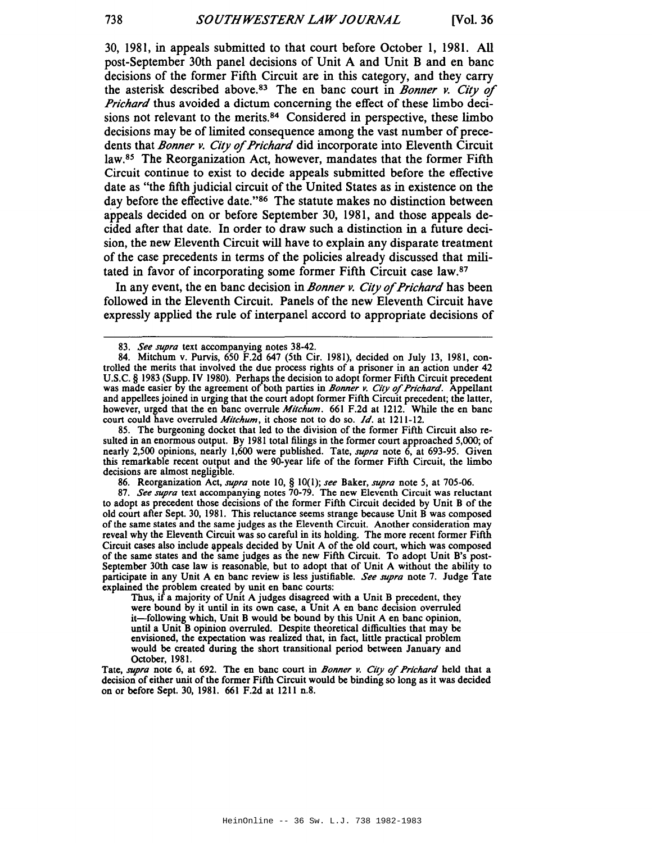30, 1981, in appeals submitted to that court before October 1, 1981. All post-September 30th panel decisions of Unit A and Unit B and en banc decisions of the former Fifth Circuit are in this category, and they carry the asterisk described above.83 The en banc court in *Bonner v. City* of *Prichard* thus avoided a dictum concerning the effect of these limbo decisions not relevant to the merits.<sup>84</sup> Considered in perspective, these limbo decisions may be of limited consequence among the vast number of precedents that *Bonner v. City* of*Prichard* did incorporate into Eleventh Circuit law.8s The Reorganization Act, however, mandates that the former Fifth Circuit continue to exist to decide appeals submitted before the effective date as "the fifth judicial circuit of the United States as in existence on the day before the effective date."<sup>86</sup> The statute makes no distinction between appeals decided on or before September 30, 1981, and those appeals decided after that date. In order to draw such a distinction in a future decision, the new Eleventh Circuit will have to explain any disparate treatment of the case precedents in terms of the policies already discussed that militated in favor of incorporating some former Fifth Circuit case law.<sup>87</sup>

In any event, the en banc decision in *Bonner v. City* of*Prichard* has been followed in the Eleventh Circuit. Panels of the new Eleventh Circuit have expressly applied the rule of interpanel accord to appropriate decisions of

85. The burgeoning docket that led to the division of the former Fifth Circuit also resulted in an enormous output. By 1981 total filings in the former court approached 5,000; of nearly 2,500 opinions, nearly 1,600 were published. Tate, *supra* note 6, at 693-95. Given this remarkable recent output and the 90-year life of the former Fifth Circuit, the limbo decisions are almost negligible.

86. Reorganization Act, *supra* note 10, § 10(1); *see* Baker, *supra* note 5, at 705-06.

*87. See supra* text accompanying notes 70-79. The new Eleventh Circuit was reluctant to adopt as precedent those decisions of the former Fifth Circuit decided by Unit B of the old court after Sept. 30, 1981. This reluctance seems strange because Unit B was composed of the same states and the same judges as the Eleventh Circuit. Another consideration may reveal why the Eleventh Circuit was so careful in its holding. The more recent former Fifth Circuit cases also include appeals decided by Unit A of the old court, which was composed of the same states and the same judges as the new Fifth Circuit. To adopt Unit B's post-September 30th case law is reasonable, but to adopt that of Unit A without the ability to participate in any Unit A en banc review is less justifiable. *See supra* note 7. Judge Tate explained the problem created by unit en banc courts:

Thus, if a majority of Unit A judges disagreed with a Unit B precedent, they were bound by it until in its own case, a Unit A en banc decision overruled it-following which, Unit B would be bound by this Unit A en banc opinion, until a Unit B opinion overruled. Despite theoretical difficulties that may be envisioned, the expectation was realized that, in fact, little practical problem would be created during the short transitional period between January and October, 1981.

Tate, *supra* note 6, at 692. The en banc court in *Bonner v. City* of *Prichard* held that a decision of either unit of the former Fifth Circuit would be binding so long as it was decided on or before Sept. 30, 1981. 661 F.2d at 1211 n.8.

*<sup>83.</sup> See supra* text accompanying notes 38-42.

<sup>84.</sup> Mitchum v. Purvis, 650 F.2d 647 (5th Cir. 1981), decided on July 13, 1981, controlled the merits that involved the due process rights of a prisoner in an action under 42 U.S.C. § 1983 (Supp. IV 1980). Perhaps the decision to adopt former Fifth Circuit precedent was made easier by the agreement of both parties in *Bonner v. City* of*Prichard.* Appellant and appelleesjoined in urging that the court adopt former Fifth Circuit precedent; the latter, however, urged that the en banc overrule *Mitchum.* 661 F.2d at 1212. While the en banc court could have overruled *Mitchum,* it chose not to do so. *Id.* at 1211-12.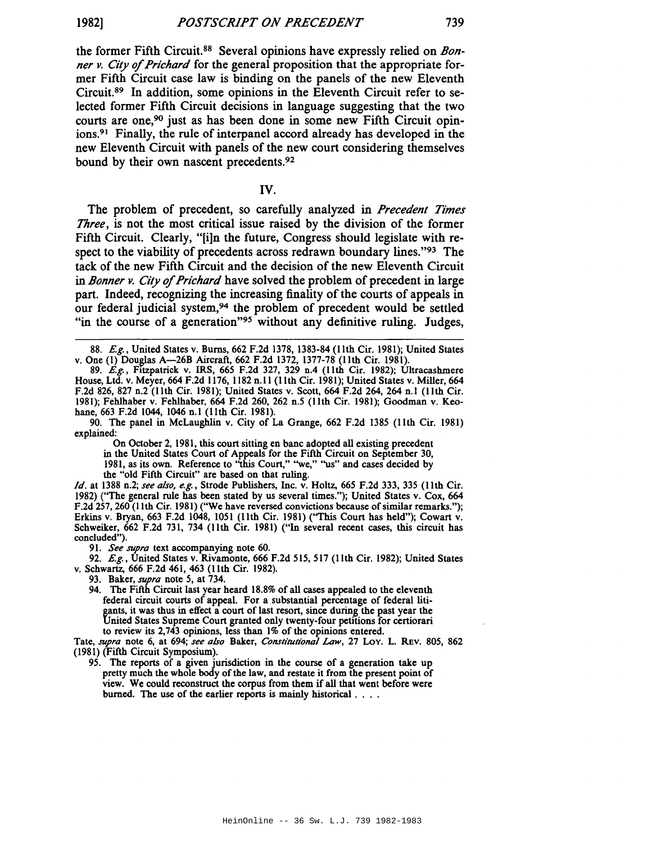the former Fifth Circuit.88 Several opinions have expressly relied on *Bonner Y. City* of*Prichard* for the general proposition that the appropriate former Fifth Circuit case law is binding on the panels of the new Eleventh Circuit.89 In addition, some opinions in the Eleventh Circuit refer to selected former Fifth Circuit decisions in language suggesting that the two courts are one, $90$  just as has been done in some new Fifth Circuit opinions.<sup>91</sup> Finally, the rule of interpanel accord already has developed in the new Eleventh Circuit with panels of the new court considering themselves bound by their own nascent precedents.92

IV.

The problem of precedent, so carefully analyzed in *Precedent Times Three,* is not the most critical issue raised by the division of the former Fifth Circuit. Clearly, "[i]n the future, Congress should legislate with respect to the viability of precedents across redrawn boundary lines."93 The tack of the new Fifth Circuit and the decision of the new Eleventh Circuit in *Bonner Y. City* of*Prichard* have solved the problem of precedent in large part. Indeed, recognizing the increasing finality of the courts of appeals in our federal judicial system,94 the problem of precedent would be settled "in the course of a generation"<sup>95</sup> without any definitive ruling. Judges,

90. The panel in McLaughlin v. City of La Grange, 662 F.2d 1385 (11th Cir. 1981) explained:

On October 2, 1981, this court sitting en banc adopted all existing precedent in the United States Court of Appeals for the Fifth Circuit on September 30, 1981, as its own. Reference to ''this Court," "we," ''us'' and cases decided by the "old Fifth Circuit" are based on that ruling.

*Id.* at 1388 n.2; *see also, e.g.,* Strode Publishers, Inc. v. Holtz, 665 F.2d 333, 335 (lIth Cir. 1982) (''The general rule has been stated by us several times."); United States v. Cox, 664 F.2d 257, 260 (11th Cir. 1981) ("We have reversed convictions because of similar remarks."); Erkins v. Bryan, 663 F.2d 1048, 1051 (lIth Cir. 1981) (''This Court has held"); Cowart v. Schweiker, 662 F.2d 731, 734 (11th Cir. 1981) ("In several recent cases, this circuit has concluded").

*91. See supra* text accompanying note 60.

92.  $E.g.$ , United States v. Rivamonte, 666 F.2d 515, 517 (11th Cir. 1982); United States v. Schwartz, 666 F.2d 461, 463 (lIth Cir. 1982).

Tate, *supra* note 6, at 694; *see also* Baker, *Constitutional Law,* 27 Loy. L. REv. 80S, 862 (1981) (Fifth Circuit Symposium).

95. The reports of a given jurisdiction in the course of a generation take up pretty much the whole body of the law, and restate it from the present point of view. We could reconstruct the corpus from them if all that went before were burned. The use of the earlier reports is mainly historical. . . .

<sup>88.</sup> E.g., United States v. Burns, 662 F.2d 1378, 1383-84 (11th Cir. 1981); United States v. One (1) Douglas A—26B Aircraft, 662 F.2d 1372, 1377-78 (11th Cir. 1981).

<sup>89.</sup> E.g., Fitzpatrick v. IRS, 665 F.2d 327, 329 n.4 (11th Cir. 1982); Ultracashmere House, Ltd. v. Meyer, 664 F.2d 1176, 1182 n.ll (lIth Cir. 1981); United States v. Miller, 664 F.2d 826, 827 n.2 (11th Cir. 1981); United States v. Scott, 664 F.2d 264, 264 n.l (llth Cir. 1981); Fehlhaber v. Fehlhaber, 664 F.2d 260, 262 n.5 (lIth Cir. 1981); Goodman v. Keohane, 663 F.2d 1044, 1046 n.l (11th Cir. 1981).

<sup>93.</sup> Baker, *supra* note 5, at 734.

<sup>94.</sup> The Fifth Circuit last year heard 18.8% of all cases appealed to the eleventh federal circuit courts of appeal. For a substantial percentage of federal litigants, it was thus in effect a court of last resort, since during the past year the United States Supreme Court granted only twenty-four petitions for certiorari to review its 2,743 opinions, less than 1% of the opinions entered.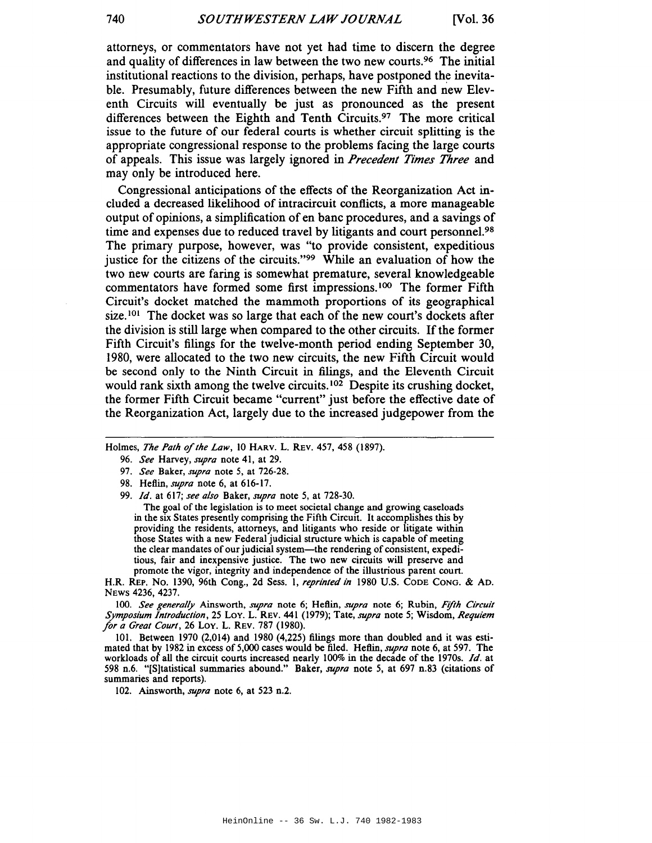attorneys, or commentators have not yet had time to discern the degree and quality of differences in law between the two new courts.96 The initial institutional reactions to the division, perhaps, have postponed the inevitable. Presumably, future differences between the new Fifth and new Eleventh Circuits will eventually be just as pronounced as the present differences between the Eighth and Tenth Circuits.97 The more critical issue to the future of our federal courts is whether circuit splitting is the appropriate congressional response to the problems facing the large courts of appeals. This issue was largely ignored in *Precedent Times Three* and may only be introduced here.

Congressional anticipations of the effects of the Reorganization Act included a decreased likelihood of intracircuit conflicts, a more manageable output of opinions, a simplification of en bane procedures, and a savings of time and expenses due to reduced travel by litigants and court personnel.<sup>98</sup> The primary purpose, however, was "to provide consistent, expeditious justice for the citizens of the circuits."99 While an evaluation of how the two new courts are faring is somewhat premature, several knowledgeable commentators have formed some first impressions.<sup>100</sup> The former Fifth Circuit's docket matched the mammoth proportions of its geographical size.<sup>101</sup> The docket was so large that each of the new court's dockets after the division is still large when compared to the other circuits. If the former Fifth Circuit's filings for the twelve-month period ending September 30, 1980, were allocated to the two new circuits, the new Fifth Circuit would be second only to the Ninth Circuit in filings, and the Eleventh Circuit would rank sixth among the twelve circuits.<sup>102</sup> Despite its crushing docket, the former Fifth Circuit became "current" just before the effective date of the Reorganization Act, largely due to the increased judgepower from the

Holmes, *The Path* of*the Law,* 10 HARv. L. REV. 457, 458 (1897).

The goal of the legislation is to meet societal change and growing caseloads in the six States presently comprising the Fifth Circuit. It accomplishes this by providing the residents, attorneys, and litigants who reside or litigate within those States with a new Federal judicial structure which is capable of meeting the clear mandates of our judicial system-the rendering of consistent, expeditious, fair and inexpensive justice. The two new circuits will preserve and promote the vigor, integrity and independence of the illustrious parent court.

H.R. REP. No. 1390, 96th Cong., 2d Sess. 1, *reprinted in* 1980 U.S. CODE Cong. & AD. NEWS 4236, 4237.

100. *See generally* Ainsworth, *supra* note 6; Heflin, *supra* note 6; Rubin, *F!fth Circuit Symposium Introduction,* 25 Loy. L. REV. 441 (1979); Tate, *supra* note 5; Wisdom, *Requiem lor a Great Court,* 26 Loy. L. REV. 787 (1980).

101. Between 1970 (2,014) and 1980 (4,225) filings more than doubled and it was estimated that by 1982 in excess of 5,000 cases would be filed. Heflin, *supra* note 6, at 597. The workloads of all the circuit courts increased nearly 100% in the decade of the I970s. *Id.* at 598 n.6. "[Sltatistical summaries abound." Baker, *supra* note 5, at 697 n.83 (citations of summaries and reports).

102. Ainsworth, *supra* note 6, at 523 n.2.

<sup>96.</sup> *See* Harvey, *supra* note 41, at 29.

*<sup>97.</sup> See* Baker, *supra* note 5, at 726-28.

<sup>98.</sup> Heflin, *supra* note 6, at 616-17.

<sup>99.</sup> *Id.* at 617; *see also* Baker, *supra* note 5, at 728-30.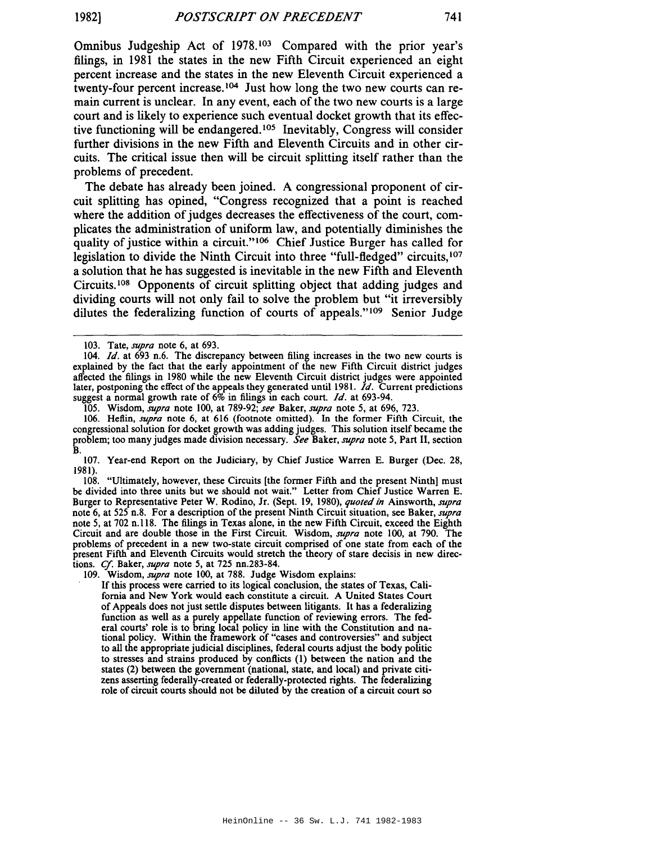Omnibus Judgeship Act of 1978. <sup>103</sup> Compared with the prior year's filings, in 1981 the states in the new Fifth Circuit experienced an eight percent increase and the states in the new Eleventh Circuit experienced a twenty-four percent increase. <sup>104</sup> Just how long the two new courts can remain current is unclear. In any event, each of the two new courts is a large court and is likely to experience such eventual docket growth that its effective functioning will be endangered.<sup>105</sup> Inevitably, Congress will consider further divisions in the new Fifth and Eleventh Circuits and in other circuits. The critical issue then will be circuit splitting itself rather than the problems of precedent.

The debate has already been joined. A congressional proponent of circuit splitting has opined, "Congress recognized that a point is reached where the addition of judges decreases the effectiveness of the court, complicates the administration of uniform law, and potentially diminishes the quality of justice within a circuit."<sup>106</sup> Chief Justice Burger has called for legislation to divide the Ninth Circuit into three "full-fledged" circuits, <sup>107</sup> a solution that he has suggested is inevitable in the new Fifth and Eleventh Circuits.!Os Opponents of circuit splitting object that adding judges and dividing courts will not only fail to solve the problem but "it irreversibly dilutes the federalizing function of courts of appeals."109 Senior Judge

106. Heflin, *supra* note 6, at 616 (footnote omitted). In the former Fifth Circuit, the congressional solution for docket growth was adding judges. This solution itself became the problem; too many judges made division necessary. *See* Baker, *supra* note 5, Part II, section B.

107. Year-end Report on the Judiciary, by Chief Justice Warren E. Burger (Dec. 28, 1981).

108. "Ultimately, however, these Circuits [the former Fifth and the present Ninth] must be divided into three units but we should not wait." Letter from Chief Justice Warren E. Burger to Representative Peter W. Rodino, Jr. (Sept. 19, 1980), *quoted in* Ainsworth, *supra* note 6, at 525 n.8. For a description of the present Ninth Circuit situation, see Baker, *supra* note 5, at 702 n.118. The filings in Texas alone, in the new Fifth Circuit, exceed the Eighth Circuit and are double those in the First Circuit. Wisdom, *supra* note 100, at 790. The problems of precedent in a new two-state circuit comprised of one state from each of the present Fifth and Eleventh Circuits would stretch the theory of stare decisis in new directions. *Cf.* Baker, *supra* note 5, at 725 nn.283-84.

109. Wisdom, *supra* note 100, at 788. Judge Wisdom explains:

If this process were carried to its logical conclusion, the states of Texas, California and New York would each constitute a circuit. A United States Court of Appeals does not just settle disputes between litigants. It has a federalizing function as well as a purely appellate function of reviewing errors. The federal courts' role is to bring local policy in line with the Constitution and national policy. Within the framework of "cases and controversies" and subject to all the appropriate judicial disciplines, federal courts adjust the body politic to stresses and strains produced by conflicts (1) between the nation and the states (2) between the government (national, state, and local) and private citizens asserting federally-created or federally-protected rights. The federalizing role of circuit courts should not be diluted by the creation of a circuit court so

<sup>103.</sup> Tate, *supra* note 6, at 693.

*<sup>104.</sup> Id.* at 693 n.6. The discrepancy between filing increases in the two new courts is explained by the fact that the early appointment of the new Fifth Circuit district judges affected the filings in 1980 while the new Eleventh Circuit district judges were appointed later, postponing the effect of the appeals they generated until 1981. *Id*. Current predictions suggest a normal growth rate of 6% in filings in each court. *Id.* at 693-94.

<sup>105.</sup> Wisdom, *supra* note 100, at 789-92; *see* Baker, *supra* note 5, at 696, 723.